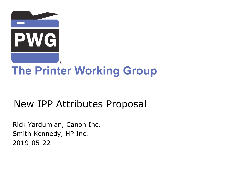

# **The Printer Working Group**

## New IPP Attributes Proposal

Rick Yardumian, Canon Inc. Smith Kennedy, HP Inc. 2019-05-22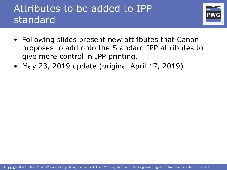## Attributes to be added to IPP standard



- Following slides present new attributes that Canon proposes to add onto the Standard IPP attributes to give more control in IPP printing.
- May 23, 2019 update (original April 17, 2019)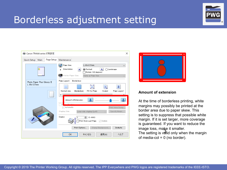

### Borderless adjustment setting





#### **Amount of extension**

At the time of borderless printing, white margins may possibly be printed at the border area due to paper skew. This setting is to suppress that possible white margin. If it is set larger, more coverage is guaranteed. If you want to reduce the image loss, make it smaller.

anage loss, mage it smaller.<br>The setting is valid only when the margin of media-col =  $0$  (no border).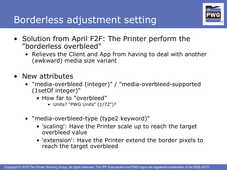

- Solution from April F2F: The Printer perform the "borderless overbleed"
	- Relieves the Client and App from having to deal with another (awkward) media size variant
- New attributes
	- "media-overbleed (integer)" / "media-overbleed-supported (1setOf integer)"
		- How far to "overbleed"
			- Units? "PWG Units" (1/72")?
	- "media-overbleed-type (type2 keyword)"
		- 'scaling': Have the Printer scale up to reach the target overbleed value
		- 'extension': Have the Printer extend the border pixels to reach the target overbleed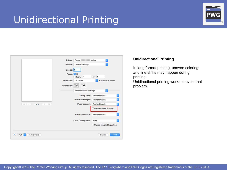### Unidirectional Printing



|                                      | ¢<br>Canon<br>series<br>Printer:<br>¢<br>Default Settings<br>Presets:<br>Copies: 1<br>Pages: <b>O</b> All<br>From: 1<br>to: 1<br>Paper Size:<br><b>US</b> Letter<br>¢.<br>8.50 by 11.00 inches |
|--------------------------------------|------------------------------------------------------------------------------------------------------------------------------------------------------------------------------------------------|
|                                      | ١è<br>Orientation:<br>¢<br><b>Paper Detailed Settings</b><br>٥<br><b>Printer Default</b><br>Drying Time:                                                                                       |
| $\ll$ $\ll$<br>1 of 1<br>$33 -$<br>x | ö<br>Print Head Height:<br><b>Printer Default</b><br>¢<br>Paper Vacuum:<br><b>Printer Default</b><br><b>Unidirectional Printing</b>                                                            |
|                                      | <b>Calibration Value:</b><br><b>Printer Default</b><br>٥<br>Clear Coating Area:<br>õ<br>Auto<br><b>Cancel Margin Regulation</b>                                                                |
| 7<br><b>Hide Details</b><br>PDF      | Cancel<br>Print                                                                                                                                                                                |

#### **Unidirectional Printing**

In long format printing, uneven coloring and line shifts may happen during printing.

Unidirectional printing works to avoid that problem.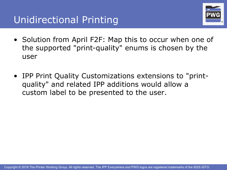

- Solution from April F2F: Map this to occur when one of the supported "print-quality" enums is chosen by the user
- IPP Print Quality Customizations extensions to "printquality" and related IPP additions would allow a custom label to be presented to the user.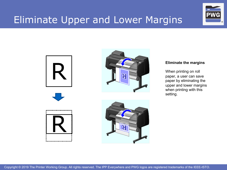### Eliminate Upper and Lower Margins









When printing on roll paper, a user can save paper by eliminating the upper and lower margins when printing with this setting.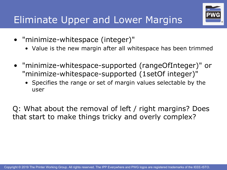

• Value is the new margin after all whitespace has been trimmed

®

- "minimize-whitespace-supported (rangeOfInteger)" or "minimize-whitespace-supported (1setOf integer)"
	- Specifies the range or set of margin values selectable by the user

Q: What about the removal of left / right margins? Does that start to make things tricky and overly complex?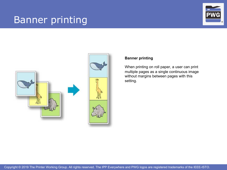### Banner printing







#### **Banner printing**

When printing on roll paper, a user can print multiple pages as a single continuous image without margins between pages with this setting.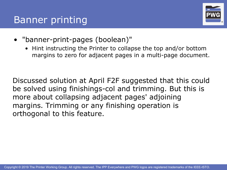### Banner printing



- "banner-print-pages (boolean)"
	- Hint instructing the Printer to collapse the top and/or bottom margins to zero for adjacent pages in a multi-page document.

Discussed solution at April F2F suggested that this could be solved using finishings-col and trimming. But this is more about collapsing adjacent pages' adjoining margins. Trimming or any finishing operation is orthogonal to this feature.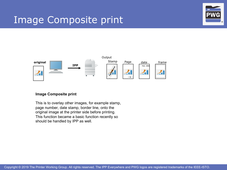### Image Composite print





#### **Image Composite print**

This is to overlay other images, for example stamp, page number, date stamp, border line, onto the original image at the printer side before printing. This function became a basic function recently so should be handled by IPP as well.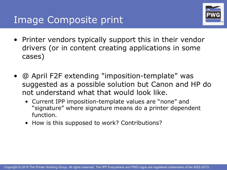

- Printer vendors typically support this in their vendor drivers (or in content creating applications in some cases)
- @ April F2F extending "imposition-template" was suggested as a possible solution but Canon and HP do not understand what that would look like.
	- Current IPP imposition-template values are "none" and "signature" where signature means do a printer dependent function.
	- How is this supposed to work? Contributions?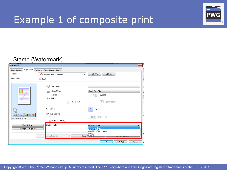

### Example 1 of composite print

### Stamp (Watermark)

| (第1印刷設定)                               |                                                                                                                           | $\overline{\mathbf{x}}$                                                                                |
|----------------------------------------|---------------------------------------------------------------------------------------------------------------------------|--------------------------------------------------------------------------------------------------------|
| Page Setup<br><b>Basic Settings</b>    | Finishing Paper Source Quality                                                                                            |                                                                                                        |
| Profile:                               | <b>Change</b> > Default Settings                                                                                          | $Add(1)$<br>$Edit(2)$<br>٠                                                                             |
| Output Method:                         | <b>A</b> Print                                                                                                            | ۰.                                                                                                     |
|                                        | $\overline{\mathbf{A}}$<br>Page Size:<br>Output Size:<br>Д<br>Copies:<br>Orientation<br>$\mathbf{A}$<br><b>O</b> Portrait | A4<br>۰<br>Match Page Size<br>۰<br>1   [1 to 999]<br>C Landscape<br>$\mathbf{A}$                       |
| E/D/D<br>P<br>9-<br>A4 [Scaling: Auto] | Page Layout:<br>Manual Scaling<br>Scaling:<br>Origin at Center(5)                                                         | $1$ on $1$<br>1<br>٠<br>100 % [25 to 400]                                                              |
| View Settings<br>Language Settings(W)  | V Watermark:<br>ustom Paper Size                                                                                          | CONFIDENTIAL<br>CONFIDENTIAL<br><b>TOP SECRET</b><br>DO NOT MAKE COPIES<br><b>COPY</b><br>Page O DRAFT |
| <b>THE R. P. LEWIS.</b><br>77.7T       | <del>.</del><br><del>.</del>                                                                                              | <b>OK</b><br>ヘルプ<br>キャンセル                                                                              |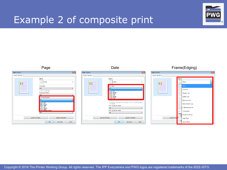### Example 2 of composite print





Copyright © 2019 The Printer Working Group. All rights reserved. The IPP Everywhere and PWG logos are registered trademarks of the IEEE-ISTO.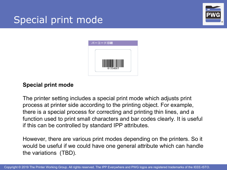### Special print mode





#### **Special print mode**

The printer setting includes a special print mode which adjusts print process at printer side according to the printing object. For example, there is a special process for correcting and printing thin lines, and a function used to print small characters and bar codes clearly. It is useful if this can be controlled by standard IPP attributes.

However, there are various print modes depending on the printers. So it would be useful if we could have one general attribute which can handle the variations (TBD).